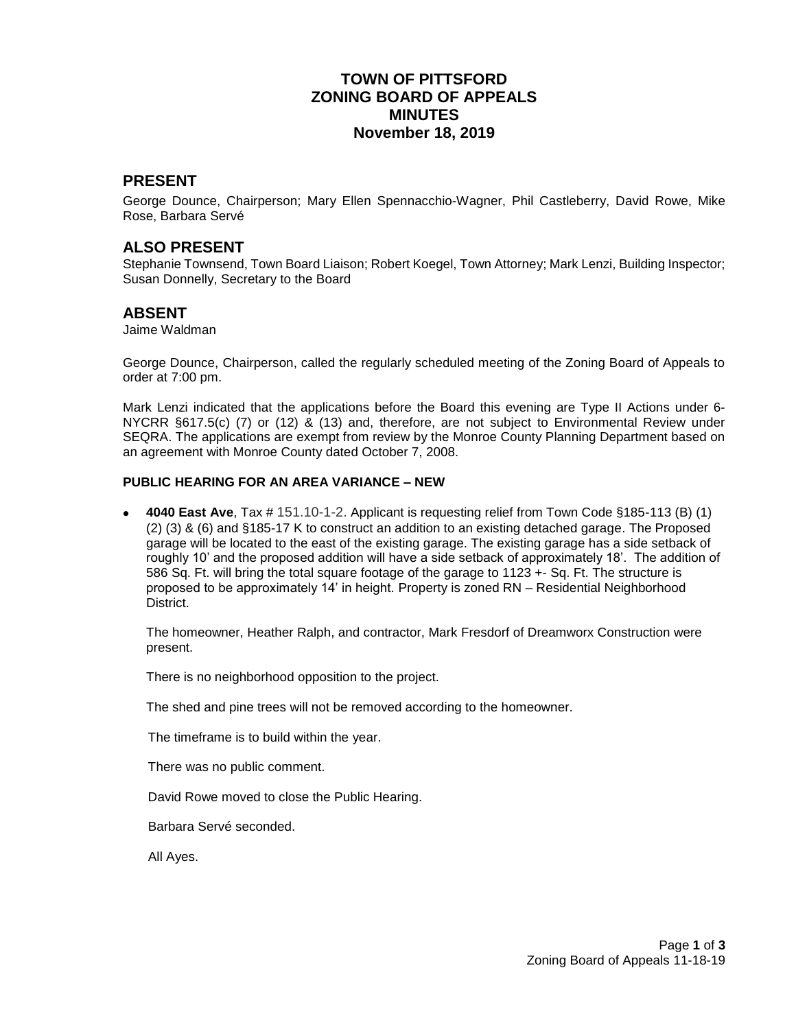## **TOWN OF PITTSFORD ZONING BOARD OF APPEALS MINUTES November 18, 2019**

### **PRESENT**

George Dounce, Chairperson; Mary Ellen Spennacchio-Wagner, Phil Castleberry, David Rowe, Mike Rose, Barbara Servé

### **ALSO PRESENT**

Stephanie Townsend, Town Board Liaison; Robert Koegel, Town Attorney; Mark Lenzi, Building Inspector; Susan Donnelly, Secretary to the Board

### **ABSENT**

Jaime Waldman

George Dounce, Chairperson, called the regularly scheduled meeting of the Zoning Board of Appeals to order at 7:00 pm.

Mark Lenzi indicated that the applications before the Board this evening are Type II Actions under 6- NYCRR §617.5(c) (7) or (12) & (13) and, therefore, are not subject to Environmental Review under SEQRA. The applications are exempt from review by the Monroe County Planning Department based on an agreement with Monroe County dated October 7, 2008.

#### **PUBLIC HEARING FOR AN AREA VARIANCE – NEW**

 **4040 East Ave**, Tax # 151.10-1-2. Applicant is requesting relief from Town Code §185-113 (B) (1) (2) (3) & (6) and §185-17 K to construct an addition to an existing detached garage. The Proposed garage will be located to the east of the existing garage. The existing garage has a side setback of roughly 10' and the proposed addition will have a side setback of approximately 18'. The addition of 586 Sq. Ft. will bring the total square footage of the garage to 1123 +- Sq. Ft. The structure is proposed to be approximately 14' in height. Property is zoned RN – Residential Neighborhood District.

The homeowner, Heather Ralph, and contractor, Mark Fresdorf of Dreamworx Construction were present.

There is no neighborhood opposition to the project.

The shed and pine trees will not be removed according to the homeowner.

The timeframe is to build within the year.

There was no public comment.

David Rowe moved to close the Public Hearing.

Barbara Servé seconded.

All Ayes.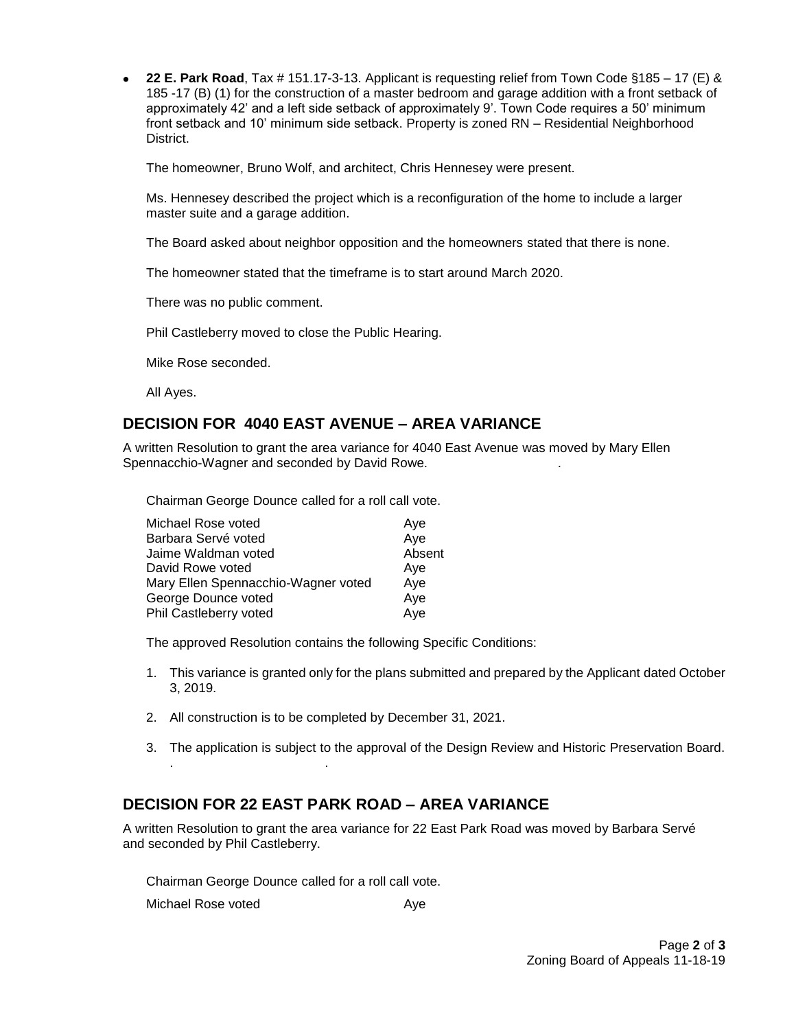**22 E. Park Road**, Tax # 151.17-3-13. Applicant is requesting relief from Town Code §185 – 17 (E) & 185 -17 (B) (1) for the construction of a master bedroom and garage addition with a front setback of approximately 42' and a left side setback of approximately 9'. Town Code requires a 50' minimum front setback and 10' minimum side setback. Property is zoned RN – Residential Neighborhood District.

The homeowner, Bruno Wolf, and architect, Chris Hennesey were present.

Ms. Hennesey described the project which is a reconfiguration of the home to include a larger master suite and a garage addition.

The Board asked about neighbor opposition and the homeowners stated that there is none.

The homeowner stated that the timeframe is to start around March 2020.

There was no public comment.

Phil Castleberry moved to close the Public Hearing.

Mike Rose seconded.

All Ayes.

### **DECISION FOR 4040 EAST AVENUE – AREA VARIANCE**

A written Resolution to grant the area variance for 4040 East Avenue was moved by Mary Ellen Spennacchio-Wagner and seconded by David Rowe. .

Chairman George Dounce called for a roll call vote.

| Michael Rose voted                  | Ave    |
|-------------------------------------|--------|
| Barbara Servé voted                 | Aye    |
| Jaime Waldman voted                 | Absent |
| David Rowe voted                    | Ave    |
| Mary Ellen Spennacchio-Wagner voted | Aye    |
| George Dounce voted                 | Aye    |
| Phil Castleberry voted              | Aye    |
|                                     |        |

The approved Resolution contains the following Specific Conditions:

- 1. This variance is granted only for the plans submitted and prepared by the Applicant dated October 3, 2019.
- 2. All construction is to be completed by December 31, 2021.
- 3. The application is subject to the approval of the Design Review and Historic Preservation Board.

## **DECISION FOR 22 EAST PARK ROAD – AREA VARIANCE**

A written Resolution to grant the area variance for 22 East Park Road was moved by Barbara Servé and seconded by Phil Castleberry.

Chairman George Dounce called for a roll call vote.

. .

Michael Rose voted Aye